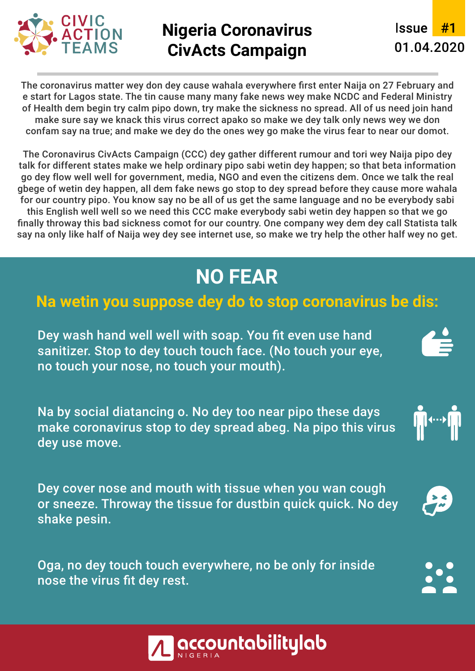

### **Nigeria Coronavirus CivActs Campaign**

**Issue** 01.04.2020

The coronavirus matter wey don dey cause wahala everywhere first enter Naija on 27 February and e start for Lagos state. The tin cause many many fake news wey make NCDC and Federal Ministry of Health dem begin try calm pipo down, try make the sickness no spread. All of us need join hand make sure say we knack this virus correct apako so make we dey talk only news wey we don confam say na true; and make we dey do the ones wey go make the virus fear to near our domot.

The Coronavirus CivActs Campaign (CCC) dey gather different rumour and tori wey Naija pipo dey talk for different states make we help ordinary pipo sabi wetin dey happen; so that beta information go dey flow well well for government, media, NGO and even the citizens dem. Once we talk the real gbege of wetin dey happen, all dem fake news go stop to dey spread before they cause more wahala for our country pipo. You know say no be all of us get the same language and no be everybody sabi this English well well so we need this CCC make everybody sabi wetin dey happen so that we go finally throway this bad sickness comot for our country. One company wey dem dey call Statista talk say na only like half of Naija wey dey see internet use, so make we try help the other half wey no get.

## **NO FEAR**

#### **Na wetin you suppose dey do to stop coronavirus be dis:**

Dey wash hand well well with soap. You fit even use hand sanitizer. Stop to dey touch touch face. (No touch your eye, no touch your nose, no touch your mouth).

Na by social diatancing o. No dey too near pipo these days make coronavirus stop to dey spread abeg. Na pipo this virus dey use move.

Dey cover nose and mouth with tissue when you wan cough or sneeze. Throway the tissue for dustbin quick quick. No dey shake pesin.

Oga, no dey touch touch everywhere, no be only for inside nose the virus fit dey rest.



**IN WORKING** 

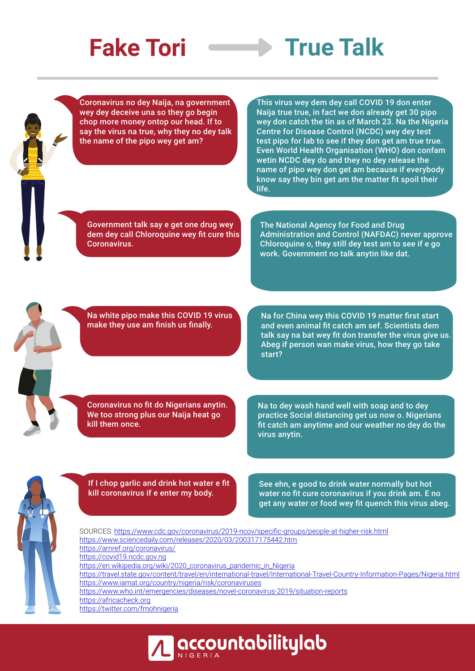# **Fake Tori**  $\longrightarrow$  True Talk

Coronavirus no dey Naija, na government wey dey deceive una so they go begin chop more money ontop our head. If to say the virus na true, why they no dey talk the name of the pipo wey get am?

This virus wey dem dey call COVID 19 don enter Naija true true, in fact we don already get 30 pipo wey don catch the tin as of March 23. Na the Nigeria Centre for Disease Control (NCDC) wey dey test test pipo for lab to see if they don get am true true. Even World Health Organisation (WHO) don confam wetin NCDC dey do and they no dey release the name of pipo wey don get am because if everybody know say they bin get am the matter fit spoil their life.

Government talk say e get one drug wey dem dey call Chloroquine wey fit cure this Coronavirus.

The National Agency for Food and Drug Administration and Control (NAFDAC) never approve Chloroquine o, they still dey test am to see if e go work. Government no talk anytin like dat.

Na white pipo make this COVID 19 virus make they use am finish us finally.

Na for China wey this COVID 19 matter first start and even animal fit catch am sef. Scientists dem talk say na bat wey fit don transfer the virus give us. Abeg if person wan make virus, how they go take start?

Coronavirus no fit do Nigerians anytin. We too strong plus our Naija heat go kill them once.

Na to dey wash hand well with soap and to dey practice Social distancing get us now o. Nigerians fit catch am anytime and our weather no dey do the virus anytin.



If I chop garlic and drink hot water e fit kill coronavirus if e enter my body.

See ehn, e good to drink water normally but hot water no fit cure coronavirus if you drink am. E no get any water or food wey fit quench this virus abeg.

SOURCES: https://www.cdc.gov/coronavirus/2019-ncov/specific-groups/people-at-higher-risk.html https://www.sciencedaily.com/releases/2020/03/200317175442.htm https://amref.org/coronavirus/ https://covid19.ncdc.gov.ng https://en.wikipedia.org/wiki/2020\_coronavirus\_pandemic\_in\_Nigeria https://travel.state.gov/content/travel/en/international-travel/International-Travel-Country-Information-Pages/Nigeria.html https://www.iamat.org/country/nigeria/risk/coronaviruses https://www.who.int/emergencies/diseases/novel-coronavirus-2019/situation-reports https://africacheck.org https://twitter.com/fmohnigeria

**| accountabilitylab**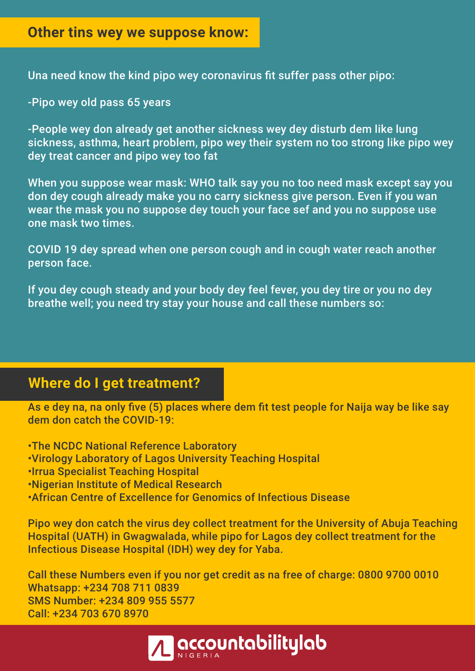#### **Other tins wey we suppose know:**

Una need know the kind pipo wey coronavirus fit suffer pass other pipo:

-Pipo wey old pass 65 years

-People wey don already get another sickness wey dey disturb dem like lung sickness, asthma, heart problem, pipo wey their system no too strong like pipo wey dey treat cancer and pipo wey too fat

When you suppose wear mask: WHO talk say you no too need mask except say you don dey cough already make you no carry sickness give person. Even if you wan wear the mask you no suppose dey touch your face sef and you no suppose use one mask two times.

COVID 19 dey spread when one person cough and in cough water reach another person face.

If you dey cough steady and your body dey feel fever, you dey tire or you no dey breathe well; you need try stay your house and call these numbers so:

#### **Where do I get treatment?**

As e dey na, na only five (5) places where dem fit test people for Naija way be like say dem don catch the COVID-19:

• The NCDC National Reference Laboratory • Virology Laboratory of Lagos University Teaching Hospital • Irrua Specialist Teaching Hospital • Nigerian Institute of Medical Research • African Centre of Excellence for Genomics of Infectious Disease

Pipo wey don catch the virus dey collect treatment for the University of Abuja Teaching Hospital (UATH) in Gwagwalada, while pipo for Lagos dey collect treatment for the Infectious Disease Hospital (IDH) wey dey for Yaba.

Call these Numbers even if you nor get credit as na free of charge: 0800 9700 0010 Whatsapp: +234 708 711 0839 SMS Number: +234 809 955 5577 Call: +234 703 670 8970